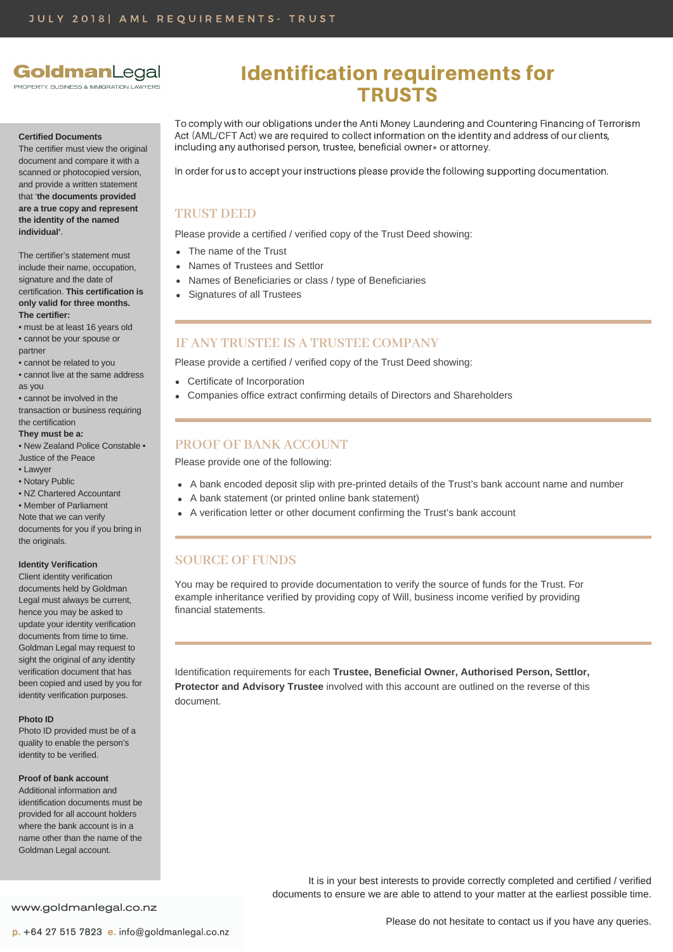# GoldmanLegal

FILSINESS & IMMIGRATION LAWYERS

#### **Certified Documents**

The certifier must view the original document and compare it with a scanned or photocopied version. and provide a written statement that '**the documents provided are a true copy and represent the identity of the named individual'**.

The certifier's statement must include their name, occupation, signature and the date of certification. **This certification is only valid for three months. The certifier:**

- must be at least 16 years old • cannot be your spouse or partner
- cannot be related to you
- cannot live at the same address as you
- cannot be involved in the transaction or business requiring the certification
- **They must be a:**
- New Zealand Police Constable Justice of the Peace
- 
- Lawyer • Notary Public
- NZ Chartered Accountant
- Member of Parliament

Note that we can verify documents for you if you bring in the originals.

#### **Identity Verification**

Client identity verification documents held by Goldman Legal must always be current, hence you may be asked to update your identity verification documents from time to time. Goldman Legal may request to sight the original of any identity verification document that has been copied and used by you for identity verification purposes.

#### **Photo ID**

Photo ID provided must be of a quality to enable the person's identity to be verified.

#### **Proof of bank account**

Additional information and identification documents must be provided for all account holders where the bank account is in a name other than the name of the Goldman Legal account.

# Identification requirements for TRUSTS

To comply with our obligations under the Anti Money Laundering and Countering Financing of Terrorism Act (AML/CFT Act) we are required to collect information on the identity and address of our clients, including any authorised person, trustee, beneficial owner $*$  or attorney.

In order for us to accept your instructions please provide the following supporting documentation.

## **TRUST DEED**

Please provide a certified / verified copy of the Trust Deed showing:

- The name of the Trust
- Names of Trustees and Settlor
- Names of Beneficiaries or class / type of Beneficiaries  $\bullet$
- Signatures of all Trustees

## **IF ANY TRUSTEE IS A TRUSTEE COMPANY**

Please provide a certified / verified copy of the Trust Deed showing:

- Certificate of Incorporation
- Companies office extract confirming details of Directors and Shareholders

### **PROOF OF BANK ACCOUNT**

Please provide one of the following:

- A bank encoded deposit slip with pre-printed details of the Trust's bank account name and number
- A bank statement (or printed online bank statement)
- A verification letter or other document confirming the Trust's bank account

## **SOURCE OF FUNDS**

You may be required to provide documentation to verify the source of funds for the Trust. For example inheritance verified by providing copy of Will, business income verified by providing financial statements.

Identification requirements for each **Trustee, Beneficial Owner, Authorised Person, Settlor, Protector and Advisory Trustee** involved with this account are outlined on the reverse of this document.

> It is in your best interests to provide correctly completed and certified / verified documents to ensure we are able to attend to your matter at the earliest possible time.